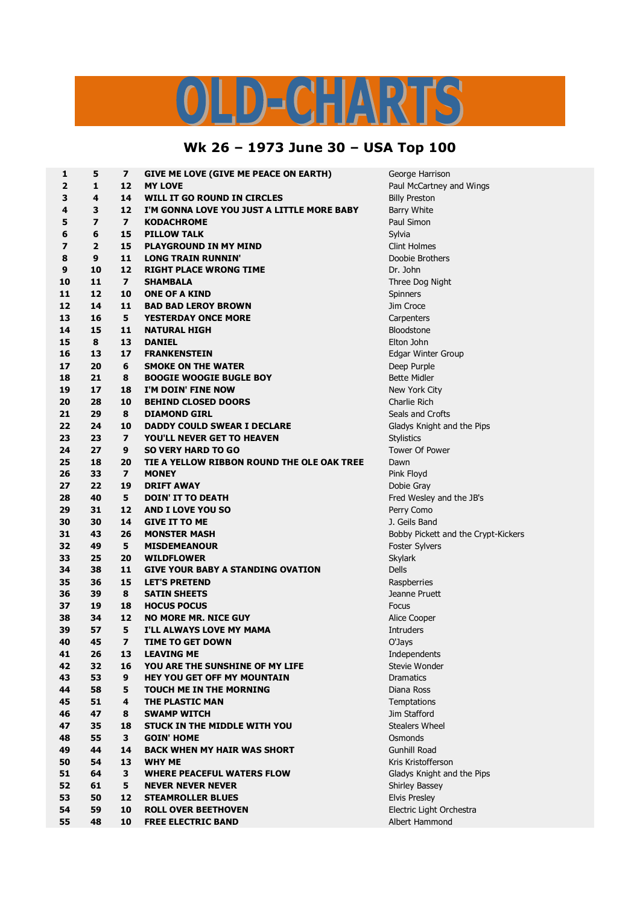## LD-CHARTS

## **Wk 26 – 1973 June 30 – USA Top 100**

| 1  | 5                       | 7                       | <b>GIVE ME LOVE (GIVE ME PEACE ON EARTH)</b> | George Harrison                     |
|----|-------------------------|-------------------------|----------------------------------------------|-------------------------------------|
| 2  | 1                       | 12                      | <b>MY LOVE</b>                               | Paul McCartney and Wings            |
| з  | 4                       | 14                      | WILL IT GO ROUND IN CIRCLES                  | <b>Billy Preston</b>                |
| 4  | 3                       | 12                      | I'M GONNA LOVE YOU JUST A LITTLE MORE BABY   | <b>Barry White</b>                  |
| 5  | $\overline{\mathbf{z}}$ | $\overline{ }$          | <b>KODACHROME</b>                            | Paul Simon                          |
| 6  | 6                       | 15                      | <b>PILLOW TALK</b>                           | Sylvia                              |
| 7  | $\overline{2}$          | 15                      | <b>PLAYGROUND IN MY MIND</b>                 | <b>Clint Holmes</b>                 |
| 8  | 9                       | 11                      | <b>LONG TRAIN RUNNIN'</b>                    | Doobie Brothers                     |
| 9  | 10                      | 12                      | <b>RIGHT PLACE WRONG TIME</b>                | Dr. John                            |
| 10 | 11                      | $\overline{ }$          | <b>SHAMBALA</b>                              | Three Dog Night                     |
| 11 | 12                      | 10                      | <b>ONE OF A KIND</b>                         | Spinners                            |
| 12 | 14                      | 11                      | <b>BAD BAD LEROY BROWN</b>                   | Jim Croce                           |
| 13 | 16                      | 5                       | <b>YESTERDAY ONCE MORE</b>                   | Carpenters                          |
| 14 | 15                      | 11                      | <b>NATURAL HIGH</b>                          | <b>Bloodstone</b>                   |
| 15 | 8                       | 13                      | <b>DANIEL</b>                                | Elton John                          |
| 16 | 13                      | 17                      | <b>FRANKENSTEIN</b>                          | Edgar Winter Group                  |
| 17 | 20                      | 6                       | <b>SMOKE ON THE WATER</b>                    | Deep Purple                         |
| 18 | 21                      | 8                       | <b>BOOGIE WOOGIE BUGLE BOY</b>               | <b>Bette Midler</b>                 |
| 19 | 17                      | 18                      | I'M DOIN' FINE NOW                           | New York City                       |
| 20 | 28                      | 10                      | <b>BEHIND CLOSED DOORS</b>                   | Charlie Rich                        |
| 21 | 29                      | 8                       | <b>DIAMOND GIRL</b>                          | Seals and Crofts                    |
| 22 | 24                      | 10                      | <b>DADDY COULD SWEAR I DECLARE</b>           | Gladys Knight and the Pips          |
| 23 | 23                      | $\overline{\mathbf{z}}$ | YOU'LL NEVER GET TO HEAVEN                   | <b>Stylistics</b>                   |
| 24 | 27                      | 9                       | <b>SO VERY HARD TO GO</b>                    | <b>Tower Of Power</b>               |
| 25 | 18                      | 20                      | TIE A YELLOW RIBBON ROUND THE OLE OAK TREE   | Dawn                                |
| 26 | 33                      | $\overline{\mathbf{z}}$ | <b>MONEY</b>                                 | Pink Floyd                          |
| 27 | 22                      | 19                      | <b>DRIFT AWAY</b>                            | Dobie Gray                          |
| 28 | 40                      | 5                       | <b>DOIN' IT TO DEATH</b>                     | Fred Wesley and the JB's            |
| 29 | 31                      | 12                      | <b>AND I LOVE YOU SO</b>                     | Perry Como                          |
| 30 | 30                      | 14                      | <b>GIVE IT TO ME</b>                         | J. Geils Band                       |
| 31 | 43                      | 26                      | <b>MONSTER MASH</b>                          | Bobby Pickett and the Crypt-Kickers |
| 32 | 49                      | 5                       | <b>MISDEMEANOUR</b>                          | <b>Foster Sylvers</b>               |
| 33 | 25                      | 20                      | <b>WILDFLOWER</b>                            | <b>Skylark</b>                      |
| 34 | 38                      | 11                      | <b>GIVE YOUR BABY A STANDING OVATION</b>     | <b>Dells</b>                        |
| 35 | 36                      | 15                      | <b>LET'S PRETEND</b>                         | Raspberries                         |
| 36 | 39                      | 8                       | <b>SATIN SHEETS</b>                          | Jeanne Pruett                       |
| 37 | 19                      | 18                      | <b>HOCUS POCUS</b>                           | Focus                               |
| 38 | 34                      | 12                      | <b>NO MORE MR. NICE GUY</b>                  | Alice Cooper                        |
| 39 | 57                      | 5                       | I'LL ALWAYS LOVE MY MAMA                     | <b>Intruders</b>                    |
| 40 | 45                      | 7                       | <b>TIME TO GET DOWN</b>                      | O'Jays                              |
| 41 | 26                      | 13                      | <b>LEAVING ME</b>                            | Independents                        |
| 42 | 32                      | 16                      | YOU ARE THE SUNSHINE OF MY LIFE              | Stevie Wonder                       |
| 43 | 53                      | 9                       | <b>HEY YOU GET OFF MY MOUNTAIN</b>           | <b>Dramatics</b>                    |
| 44 | 58                      | 5                       | TOUCH ME IN THE MORNING                      | Diana Ross                          |
| 45 | 51                      | 4                       | THE PLASTIC MAN                              | Temptations                         |
| 46 | 47                      | 8                       | <b>SWAMP WITCH</b>                           | Jim Stafford                        |
| 47 | 35                      | 18                      | <b>STUCK IN THE MIDDLE WITH YOU</b>          | <b>Stealers Wheel</b>               |
| 48 | 55                      | 3                       | <b>GOIN' HOME</b>                            | Osmonds                             |
| 49 | 44                      | 14                      | <b>BACK WHEN MY HAIR WAS SHORT</b>           | Gunhill Road                        |
| 50 | 54                      | 13                      | <b>WHY ME</b>                                | Kris Kristofferson                  |
| 51 | 64                      | 3                       | <b>WHERE PEACEFUL WATERS FLOW</b>            | Gladys Knight and the Pips          |
| 52 | 61                      | 5                       | <b>NEVER NEVER NEVER</b>                     | <b>Shirley Bassey</b>               |
| 53 | 50                      | 12                      | <b>STEAMROLLER BLUES</b>                     | <b>Elvis Presley</b>                |
| 54 | 59                      | 10                      | <b>ROLL OVER BEETHOVEN</b>                   | Electric Light Orchestra            |
| 55 | 48                      | 10                      | <b>FREE ELECTRIC BAND</b>                    | Albert Hammond                      |
|    |                         |                         |                                              |                                     |